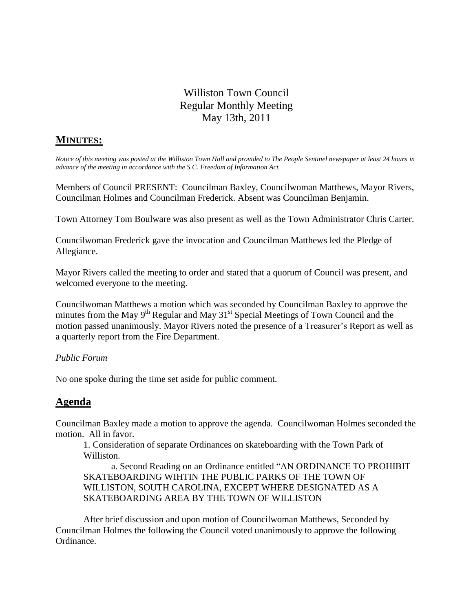# Williston Town Council Regular Monthly Meeting May 13th, 2011

## **MINUTES:**

*Notice of this meeting was posted at the Williston Town Hall and provided to The People Sentinel newspaper at least 24 hours in advance of the meeting in accordance with the S.C. Freedom of Information Act.*

Members of Council PRESENT: Councilman Baxley, Councilwoman Matthews, Mayor Rivers, Councilman Holmes and Councilman Frederick. Absent was Councilman Benjamin.

Town Attorney Tom Boulware was also present as well as the Town Administrator Chris Carter.

Councilwoman Frederick gave the invocation and Councilman Matthews led the Pledge of Allegiance.

Mayor Rivers called the meeting to order and stated that a quorum of Council was present, and welcomed everyone to the meeting.

Councilwoman Matthews a motion which was seconded by Councilman Baxley to approve the minutes from the May  $9<sup>th</sup>$  Regular and May  $31<sup>st</sup>$  Special Meetings of Town Council and the motion passed unanimously. Mayor Rivers noted the presence of a Treasurer's Report as well as a quarterly report from the Fire Department.

### *Public Forum*

No one spoke during the time set aside for public comment.

## **Agenda**

Councilman Baxley made a motion to approve the agenda. Councilwoman Holmes seconded the motion. All in favor.

1. Consideration of separate Ordinances on skateboarding with the Town Park of Williston.

a. Second Reading on an Ordinance entitled "AN ORDINANCE TO PROHIBIT SKATEBOARDING WIHTIN THE PUBLIC PARKS OF THE TOWN OF WILLISTON, SOUTH CAROLINA, EXCEPT WHERE DESIGNATED AS A SKATEBOARDING AREA BY THE TOWN OF WILLISTON

After brief discussion and upon motion of Councilwoman Matthews, Seconded by Councilman Holmes the following the Council voted unanimously to approve the following Ordinance.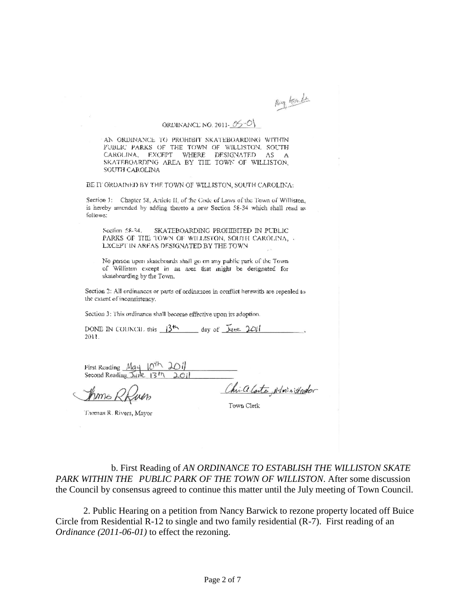May teacher

## ORDINANCE NO. 2011-05-0

AN ORDINANCE TO PROHIBIT SKATEBOARDING WITHIN PUBLIC PARKS OF THE TOWN OF WILLISTON, SOUTH CAROLINA, EXCEPT WHERE DESIGNATED AS A SKATEBOARDING AREA BY THE TOWN OF WILLISTON, **SOUTH CAROLINA** 

BE IT ORDAINED BY THE TOWN OF WILLISTON, SOUTH CAROLINA:

Section 1: Chapter 58, Article II, of the Code of Laws of the Town of Williston, is hereby amended by adding thereto a new Section 58-34 which shall read as fallows:

Section 58-34. SKATEBOARDING PROHIBITED IN PUBLIC PARKS OF THE TOWN OF WILLISTON, SOUTH CAROLINA, A LXCEPT IN AREAS DESIGNATED BY THE TOWN

No person upon skateboards shall go on any public park of the Town. of Williston except in an area that might be designated for skateboarding by the Town.

Section 2: All ordinances or parts of ordinances in conflict herewith are repealed to the extent of inconsistency.

Section 3: This ordinance shall become effective upon its adoption.

DONE IN COUNCIL this  $3<sup>th</sup>$  day of  $\overline{\mathcal{Y}}$  are  $2\overline{\mathcal{O}}t$ 2011.

| First Reading $Maq$ $ 0^{th}$ $201$      |  |  |
|------------------------------------------|--|--|
| Second Reading June 13 <sup>th</sup> 201 |  |  |

mms

Chica Cartes, Administrator Town Clerk

Thomas R. Rivers, Mayor

b. First Reading of *AN ORDINANCE TO ESTABLISH THE WILLISTON SKATE PARK WITHIN THE PUBLIC PARK OF THE TOWN OF WILLISTON*. After some discussion the Council by consensus agreed to continue this matter until the July meeting of Town Council.

2. Public Hearing on a petition from Nancy Barwick to rezone property located off Buice Circle from Residential R-12 to single and two family residential (R-7). First reading of an *Ordinance (2011-06-01)* to effect the rezoning.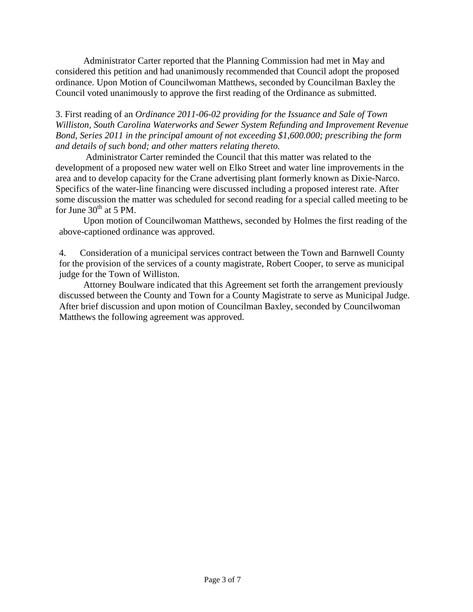Administrator Carter reported that the Planning Commission had met in May and considered this petition and had unanimously recommended that Council adopt the proposed ordinance. Upon Motion of Councilwoman Matthews, seconded by Councilman Baxley the Council voted unanimously to approve the first reading of the Ordinance as submitted.

3. First reading of an *Ordinance 2011-06-02 providing for the Issuance and Sale of Town Williston, South Carolina Waterworks and Sewer System Refunding and Improvement Revenue Bond, Series 2011 in the principal amount of not exceeding \$1,600.000; prescribing the form and details of such bond; and other matters relating thereto.*

Administrator Carter reminded the Council that this matter was related to the development of a proposed new water well on Elko Street and water line improvements in the area and to develop capacity for the Crane advertising plant formerly known as Dixie-Narco. Specifics of the water-line financing were discussed including a proposed interest rate. After some discussion the matter was scheduled for second reading for a special called meeting to be for June  $30<sup>th</sup>$  at 5 PM.

Upon motion of Councilwoman Matthews, seconded by Holmes the first reading of the above-captioned ordinance was approved.

4. Consideration of a municipal services contract between the Town and Barnwell County for the provision of the services of a county magistrate, Robert Cooper, to serve as municipal judge for the Town of Williston.

Attorney Boulware indicated that this Agreement set forth the arrangement previously discussed between the County and Town for a County Magistrate to serve as Municipal Judge. After brief discussion and upon motion of Councilman Baxley, seconded by Councilwoman Matthews the following agreement was approved.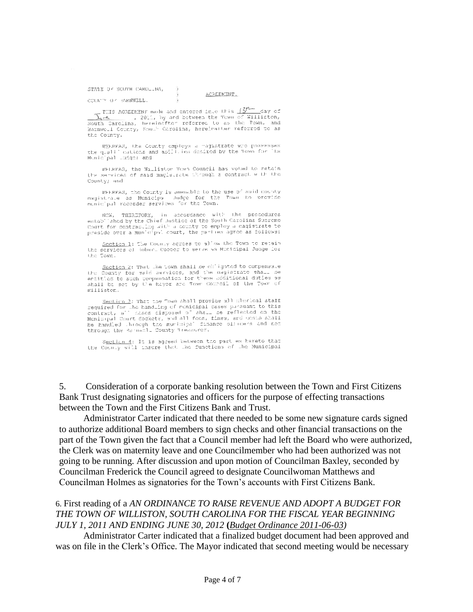STAIR OF SOUTH CAROLINA,

#### ACRLEMENT.

COUNTY OF BARNWELL.

THIS AGREEMENT made and entered into this  $\frac{13^{n+1}}{n+1}$  day of  $\overline{\lambda_1 + \lambda_2}$ , 2010, by and between the Tewn of Williston, These networks and contract the Town of William .<br>South Carolins, hereinafter reforred to as the Town, and Barnwell County, South Carolins, hereinafter reforred to as the Town, and the County.

-7

WHEREAS, the County employs a magnetrate who possesses the qualifications and apillies deployed by the Town for Municipal unders and

WELRFAS, the Williston Town Council has voted to retain the services of said magistrate through a contract with the County; and

WEERFAS, the County is amenable to the use of said county magistrate as Municipal Judge for the Town to provide municipal recorder services for the Town.

NOW, THEREFORE, in accordance with the procedures Tahed by the Chief Justice of the South Carolina Supreme Assistants" Court for contracting with a county to employ a magistrate to preside over a municipal court, the parties agree as follows:

Section 1) The County agrees to allow the Town to retain the services of tober. Cooper to serve as Municipal Judge for the Town.

Saction 2: That the Lown shall be childrend to compensate the County for sale services, and the magistrate shall be entitled to such companished for these ddditional duties as shall be set by the Rayor are Town Council of the Town of Williston.

Section 3: That the Town shall provide all plonical staff Securities for the test of contributions of contracts in the this contract, all cases cisposed of shall be reflected on the ne nandling of monicipal cases parament to this<br>- nases cisposed of shall be reflected on the Municipal Court dockets, and all fees, fines, and costs shall be handled through the municipal finance of/nders and not through the Rammanle County Treasurer.

Section 4: It is agreed between the part es hereto that the County will insure that the functions of the Municipal

5. Consideration of a corporate banking resolution between the Town and First Citizens Bank Trust designating signatories and officers for the purpose of effecting transactions between the Town and the First Citizens Bank and Trust.

Administrator Carter indicated that there needed to be some new signature cards signed to authorize additional Board members to sign checks and other financial transactions on the part of the Town given the fact that a Council member had left the Board who were authorized, the Clerk was on maternity leave and one Councilmember who had been authorized was not going to be running. After discussion and upon motion of Councilman Baxley, seconded by Councilman Frederick the Council agreed to designate Councilwoman Matthews and Councilman Holmes as signatories for the Town's accounts with First Citizens Bank.

### 6. First reading of a *AN ORDINANCE TO RAISE REVENUE AND ADOPT A BUDGET FOR THE TOWN OF WILLISTON, SOUTH CAROLINA FOR THE FISCAL YEAR BEGINNING JULY 1, 2011 AND ENDING JUNE 30, 2012* **(***Budget Ordinance 2011-06-03)*

Administrator Carter indicated that a finalized budget document had been approved and was on file in the Clerk's Office. The Mayor indicated that second meeting would be necessary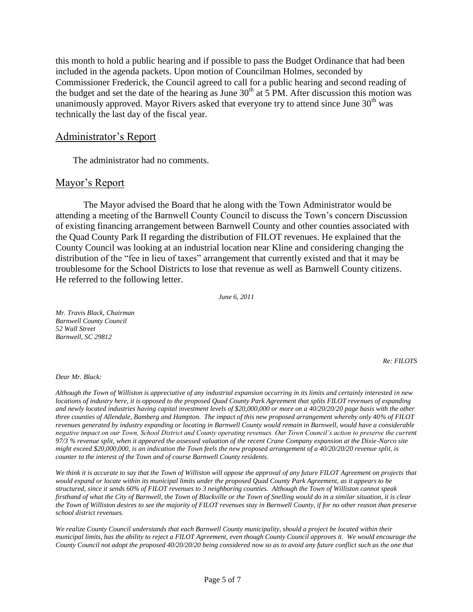this month to hold a public hearing and if possible to pass the Budget Ordinance that had been included in the agenda packets. Upon motion of Councilman Holmes, seconded by Commissioner Frederick, the Council agreed to call for a public hearing and second reading of the budget and set the date of the hearing as June  $30<sup>th</sup>$  at 5 PM. After discussion this motion was unanimously approved. Mayor Rivers asked that everyone try to attend since June  $30<sup>th</sup>$  was technically the last day of the fiscal year.

#### Administrator's Report

The administrator had no comments.

#### Mayor's Report

The Mayor advised the Board that he along with the Town Administrator would be attending a meeting of the Barnwell County Council to discuss the Town's concern Discussion of existing financing arrangement between Barnwell County and other counties associated with the Quad County Park II regarding the distribution of FILOT revenues. He explained that the County Council was looking at an industrial location near Kline and considering changing the distribution of the "fee in lieu of taxes" arrangement that currently existed and that it may be troublesome for the School Districts to lose that revenue as well as Barnwell County citizens. He referred to the following letter.

*June 6, 2011*

*Mr. Travis Black, Chairman Barnwell County Council 52 Wall Street Barnwell, SC 29812*

*Re: FILOTS*

*Dear Mr. Black:*

*Although the Town of Williston is appreciative of any industrial expansion occurring in its limits and certainly interested in new locations of industry here, it is opposed to the proposed Quad County Park Agreement that splits FILOT revenues of expanding and newly located industries having capital investment levels of \$20,000,000 or more on a 40/20/20/20 page basis with the other three counties of Allendale, Bamberg and Hampton. The impact of this new proposed arrangement whereby only 40% of FILOT revenues generated by industry expanding or locating in Barnwell County would remain in Barnwell, would have a considerable negative impact on our Town, School District and County operating revenues. Our Town Council's action to preserve the current 97/3 % revenue split, when it appeared the assessed valuation of the recent Crane Company expansion at the Dixie-Narco site might exceed \$20,000,000, is an indication the Town feels the new proposed arrangement of a 40/20/20/20 revenue split, is counter to the interest of the Town and of course Barnwell County residents.*

*We think it is accurate to say that the Town of Williston will oppose the approval of any future FILOT Agreement on projects that would expand or locate within its municipal limits under the proposed Quad County Park Agreement, as it appears to be structured, since it sends 60% of FILOT revenues to 3 neighboring counties. Although the Town of Williston cannot speak firsthand of what the City of Barnwell, the Town of Blackville or the Town of Snelling would do in a similar situation, it is clear the Town of Williston desires to see the majority of FILOT revenues stay in Barnwell County, if for no other reason than preserve school district revenues.*

*We realize County Council understands that each Barnwell County municipality, should a project be located within their municipal limits, has the ability to reject a FILOT Agreement, even though County Council approves it. We would encourage the County Council not adopt the proposed 40/20/20/20 being considered now so as to avoid any future conflict such as the one that*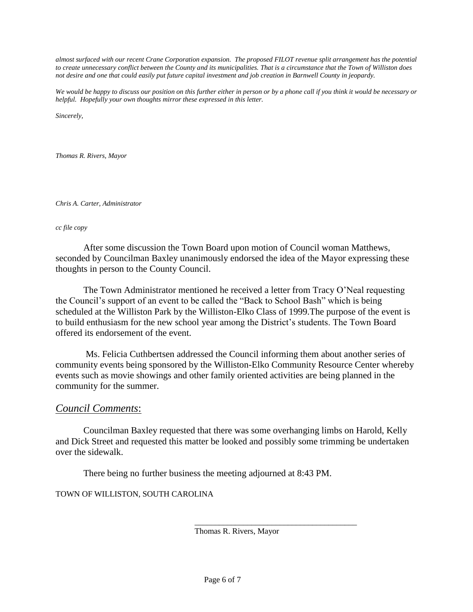*almost surfaced with our recent Crane Corporation expansion. The proposed FILOT revenue split arrangement has the potential to create unnecessary conflict between the County and its municipalities. That is a circumstance that the Town of Williston does not desire and one that could easily put future capital investment and job creation in Barnwell County in jeopardy.*

*We would be happy to discuss our position on this further either in person or by a phone call if you think it would be necessary or helpful. Hopefully your own thoughts mirror these expressed in this letter.* 

*Sincerely,*

*Thomas R. Rivers, Mayor*

*Chris A. Carter, Administrator*

#### *cc file copy*

After some discussion the Town Board upon motion of Council woman Matthews, seconded by Councilman Baxley unanimously endorsed the idea of the Mayor expressing these thoughts in person to the County Council.

The Town Administrator mentioned he received a letter from Tracy O'Neal requesting the Council's support of an event to be called the "Back to School Bash" which is being scheduled at the Williston Park by the Williston-Elko Class of 1999.The purpose of the event is to build enthusiasm for the new school year among the District's students. The Town Board offered its endorsement of the event.

Ms. Felicia Cuthbertsen addressed the Council informing them about another series of community events being sponsored by the Williston-Elko Community Resource Center whereby events such as movie showings and other family oriented activities are being planned in the community for the summer.

### *Council Comments*:

Councilman Baxley requested that there was some overhanging limbs on Harold, Kelly and Dick Street and requested this matter be looked and possibly some trimming be undertaken over the sidewalk.

There being no further business the meeting adjourned at 8:43 PM.

#### TOWN OF WILLISTON, SOUTH CAROLINA

Thomas R. Rivers, Mayor

\_\_\_\_\_\_\_\_\_\_\_\_\_\_\_\_\_\_\_\_\_\_\_\_\_\_\_\_\_\_\_\_\_\_\_\_\_\_\_\_